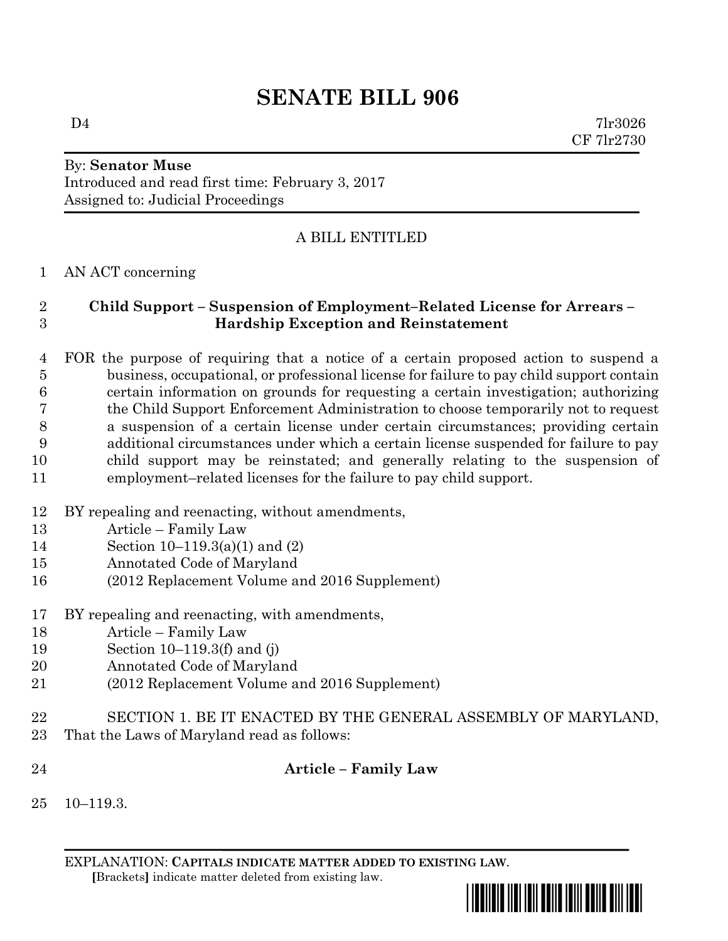# **SENATE BILL 906**

 $D4$  7lr3026 CF 7lr2730

#### By: **Senator Muse** Introduced and read first time: February 3, 2017 Assigned to: Judicial Proceedings

## A BILL ENTITLED

### AN ACT concerning

#### **Child Support – Suspension of Employment–Related License for Arrears – Hardship Exception and Reinstatement**

 FOR the purpose of requiring that a notice of a certain proposed action to suspend a business, occupational, or professional license for failure to pay child support contain certain information on grounds for requesting a certain investigation; authorizing the Child Support Enforcement Administration to choose temporarily not to request a suspension of a certain license under certain circumstances; providing certain additional circumstances under which a certain license suspended for failure to pay child support may be reinstated; and generally relating to the suspension of employment–related licenses for the failure to pay child support.

- BY repealing and reenacting, without amendments,
- Article Family Law
- Section 10–119.3(a)(1) and (2)
- Annotated Code of Maryland
- (2012 Replacement Volume and 2016 Supplement)
- BY repealing and reenacting, with amendments,
- Article Family Law
- Section 10–119.3(f) and (j)
- Annotated Code of Maryland
- (2012 Replacement Volume and 2016 Supplement)
- SECTION 1. BE IT ENACTED BY THE GENERAL ASSEMBLY OF MARYLAND, That the Laws of Maryland read as follows:

#### **Article – Family Law**

10–119.3.

EXPLANATION: **CAPITALS INDICATE MATTER ADDED TO EXISTING LAW**.  **[**Brackets**]** indicate matter deleted from existing law.

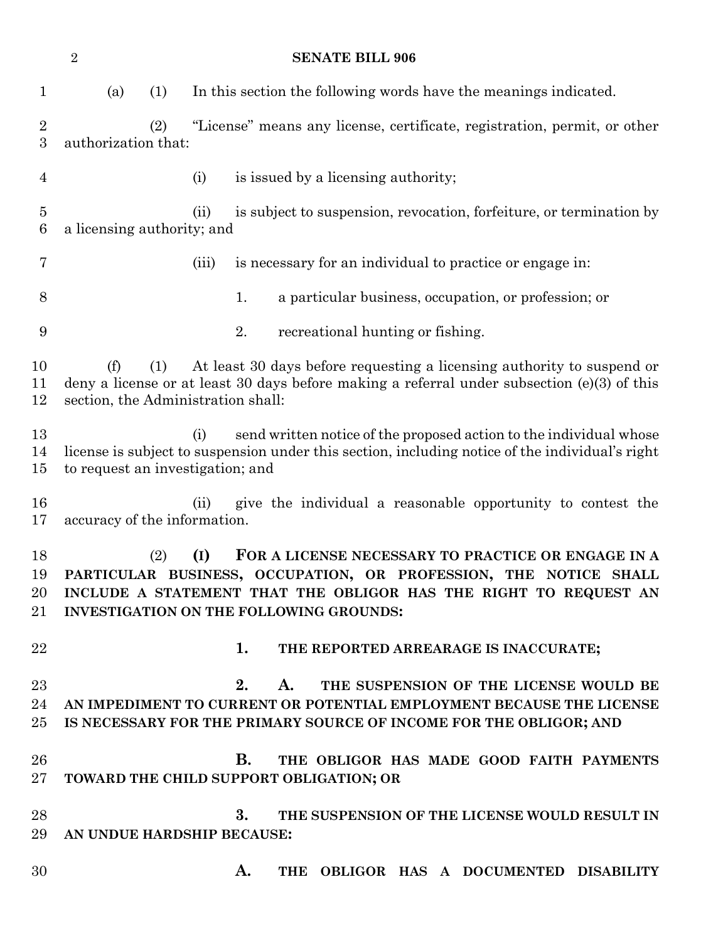| $\sqrt{2}$<br><b>SENATE BILL 906</b> |                                                                                                                                                                                                                             |     |       |                                                                                                                                                                                                                                                        |  |
|--------------------------------------|-----------------------------------------------------------------------------------------------------------------------------------------------------------------------------------------------------------------------------|-----|-------|--------------------------------------------------------------------------------------------------------------------------------------------------------------------------------------------------------------------------------------------------------|--|
| $\mathbf{1}$                         | (a)                                                                                                                                                                                                                         | (1) |       | In this section the following words have the meanings indicated.                                                                                                                                                                                       |  |
| $\sqrt{2}$<br>$\boldsymbol{3}$       | authorization that:                                                                                                                                                                                                         | (2) |       | "License" means any license, certificate, registration, permit, or other                                                                                                                                                                               |  |
| $\overline{4}$                       |                                                                                                                                                                                                                             |     | (i)   | is issued by a licensing authority;                                                                                                                                                                                                                    |  |
| $\bf 5$<br>6                         | a licensing authority; and                                                                                                                                                                                                  |     | (ii)  | is subject to suspension, revocation, forfeiture, or termination by                                                                                                                                                                                    |  |
| 7                                    |                                                                                                                                                                                                                             |     | (iii) | is necessary for an individual to practice or engage in:                                                                                                                                                                                               |  |
| 8                                    |                                                                                                                                                                                                                             |     |       | 1.<br>a particular business, occupation, or profession; or                                                                                                                                                                                             |  |
| $\boldsymbol{9}$                     |                                                                                                                                                                                                                             |     |       | 2.<br>recreational hunting or fishing.                                                                                                                                                                                                                 |  |
| 10<br>11<br>12                       | (f)<br>At least 30 days before requesting a licensing authority to suspend or<br>(1)<br>deny a license or at least 30 days before making a referral under subsection $(e)(3)$ of this<br>section, the Administration shall: |     |       |                                                                                                                                                                                                                                                        |  |
| 13<br>14<br>15                       | (i)<br>send written notice of the proposed action to the individual whose<br>license is subject to suspension under this section, including notice of the individual's right<br>to request an investigation; and            |     |       |                                                                                                                                                                                                                                                        |  |
| 16<br>17                             | accuracy of the information.                                                                                                                                                                                                |     | (ii)  | give the individual a reasonable opportunity to contest the                                                                                                                                                                                            |  |
| 18<br>19<br>20<br>21                 |                                                                                                                                                                                                                             | (2) | (I)   | FOR A LICENSE NECESSARY TO PRACTICE OR ENGAGE IN A<br>PARTICULAR BUSINESS, OCCUPATION, OR PROFESSION, THE NOTICE<br><b>SHALL</b><br>INCLUDE A STATEMENT THAT THE OBLIGOR HAS THE RIGHT TO REQUEST AN<br><b>INVESTIGATION ON THE FOLLOWING GROUNDS:</b> |  |
| 22                                   |                                                                                                                                                                                                                             |     |       | 1.<br>THE REPORTED ARREARAGE IS INACCURATE;                                                                                                                                                                                                            |  |
| 23<br>24<br>$25\,$                   |                                                                                                                                                                                                                             |     |       | 2.<br>THE SUSPENSION OF THE LICENSE WOULD BE<br>A.<br>AN IMPEDIMENT TO CURRENT OR POTENTIAL EMPLOYMENT BECAUSE THE LICENSE<br>IS NECESSARY FOR THE PRIMARY SOURCE OF INCOME FOR THE OBLIGOR; AND                                                       |  |
| 26<br>$27\,$                         |                                                                                                                                                                                                                             |     |       | <b>B.</b><br>THE OBLIGOR HAS MADE GOOD FAITH PAYMENTS<br>TOWARD THE CHILD SUPPORT OBLIGATION; OR                                                                                                                                                       |  |
| 28<br>29                             | AN UNDUE HARDSHIP BECAUSE:                                                                                                                                                                                                  |     |       | 3.<br>THE SUSPENSION OF THE LICENSE WOULD RESULT IN                                                                                                                                                                                                    |  |
| 30                                   |                                                                                                                                                                                                                             |     |       | THE OBLIGOR HAS A DOCUMENTED DISABILITY<br>A.                                                                                                                                                                                                          |  |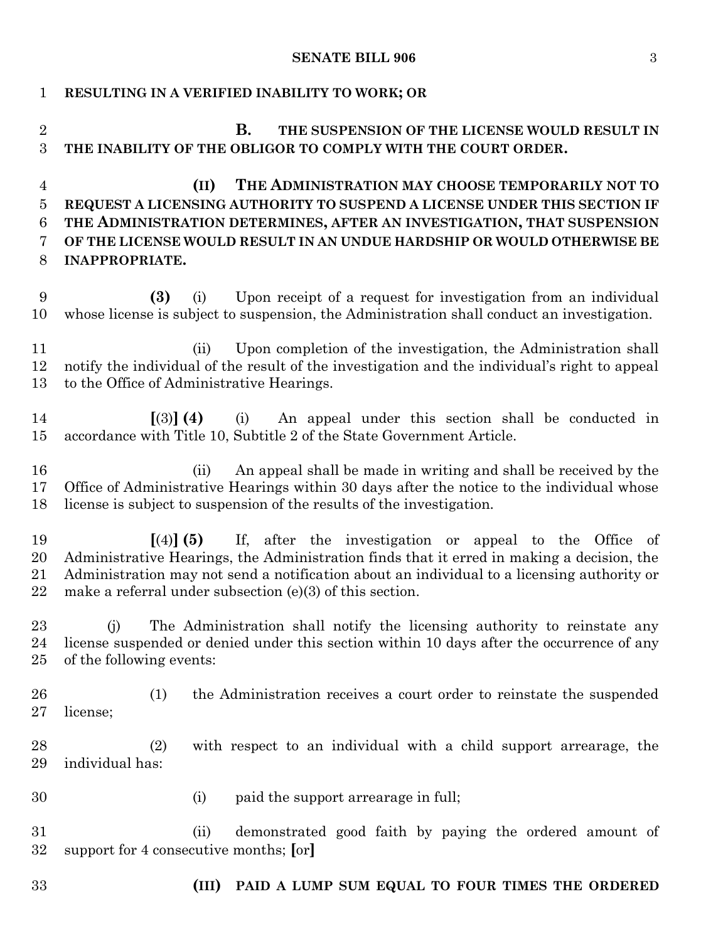#### **SENATE BILL 906** 3

| 1                                               | RESULTING IN A VERIFIED INABILITY TO WORK; OR                                                                                                                                                                                                                                                                                  |  |  |  |  |
|-------------------------------------------------|--------------------------------------------------------------------------------------------------------------------------------------------------------------------------------------------------------------------------------------------------------------------------------------------------------------------------------|--|--|--|--|
| $\overline{2}$<br>3                             | В.<br>THE SUSPENSION OF THE LICENSE WOULD RESULT IN<br>THE INABILITY OF THE OBLIGOR TO COMPLY WITH THE COURT ORDER.                                                                                                                                                                                                            |  |  |  |  |
| $\overline{4}$<br>$\overline{5}$<br>6<br>7<br>8 | THE ADMINISTRATION MAY CHOOSE TEMPORARILY NOT TO<br>(II)<br>REQUEST A LICENSING AUTHORITY TO SUSPEND A LICENSE UNDER THIS SECTION IF<br>THE ADMINISTRATION DETERMINES, AFTER AN INVESTIGATION, THAT SUSPENSION<br>OF THE LICENSE WOULD RESULT IN AN UNDUE HARDSHIP OR WOULD OTHERWISE BE<br><b>INAPPROPRIATE.</b>              |  |  |  |  |
| 9<br>10                                         | Upon receipt of a request for investigation from an individual<br>(3)<br>(i)<br>whose license is subject to suspension, the Administration shall conduct an investigation.                                                                                                                                                     |  |  |  |  |
| 11<br>12<br>13                                  | Upon completion of the investigation, the Administration shall<br>(ii)<br>notify the individual of the result of the investigation and the individual's right to appeal<br>to the Office of Administrative Hearings.                                                                                                           |  |  |  |  |
| 14<br>15                                        | $(3)$ (4)<br>An appeal under this section shall be conducted in<br>(i)<br>accordance with Title 10, Subtitle 2 of the State Government Article.                                                                                                                                                                                |  |  |  |  |
| 16<br>17<br>18                                  | An appeal shall be made in writing and shall be received by the<br>(ii)<br>Office of Administrative Hearings within 30 days after the notice to the individual whose<br>license is subject to suspension of the results of the investigation.                                                                                  |  |  |  |  |
| 19<br>20<br>21<br>22                            | If, after the investigation or appeal to the Office of<br>$[(4)]$ (5)<br>Administrative Hearings, the Administration finds that it erred in making a decision, the<br>Administration may not send a notification about an individual to a licensing authority or<br>make a referral under subsection $(e)(3)$ of this section. |  |  |  |  |
| 23<br>24<br>25                                  | The Administration shall notify the licensing authority to reinstate any<br>(i)<br>license suspended or denied under this section within 10 days after the occurrence of any<br>of the following events:                                                                                                                       |  |  |  |  |
| 26<br>27                                        | (1)<br>the Administration receives a court order to reinstate the suspended<br>license;                                                                                                                                                                                                                                        |  |  |  |  |
| 28<br>29                                        | with respect to an individual with a child support arrearage, the<br>(2)<br>individual has:                                                                                                                                                                                                                                    |  |  |  |  |
| 30                                              | paid the support arrearage in full;<br>(i)                                                                                                                                                                                                                                                                                     |  |  |  |  |
| 31<br>32                                        | demonstrated good faith by paying the ordered amount of<br>(ii)<br>support for 4 consecutive months; [or]                                                                                                                                                                                                                      |  |  |  |  |
| 33                                              | PAID A LUMP SUM EQUAL TO FOUR TIMES THE ORDERED<br>(III)                                                                                                                                                                                                                                                                       |  |  |  |  |